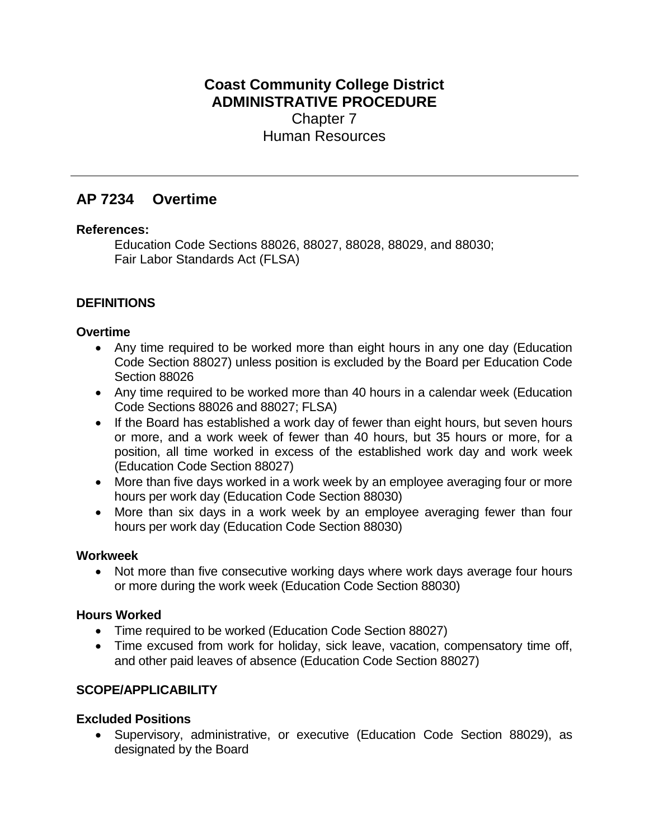# **Coast Community College District ADMINISTRATIVE PROCEDURE** Chapter 7 Human Resources

# **AP 7234 Overtime**

## **References:**

Education Code Sections 88026, 88027, 88028, 88029, and 88030; Fair Labor Standards Act (FLSA)

# **DEFINITIONS**

## **Overtime**

- Any time required to be worked more than eight hours in any one day (Education Code Section 88027) unless position is excluded by the Board per Education Code Section 88026
- Any time required to be worked more than 40 hours in a calendar week (Education Code Sections 88026 and 88027; FLSA)
- If the Board has established a work day of fewer than eight hours, but seven hours or more, and a work week of fewer than 40 hours, but 35 hours or more, for a position, all time worked in excess of the established work day and work week (Education Code Section 88027)
- More than five days worked in a work week by an employee averaging four or more hours per work day (Education Code Section 88030)
- More than six days in a work week by an employee averaging fewer than four hours per work day (Education Code Section 88030)

#### **Workweek**

• Not more than five consecutive working days where work days average four hours or more during the work week (Education Code Section 88030)

#### **Hours Worked**

- Time required to be worked (Education Code Section 88027)
- Time excused from work for holiday, sick leave, vacation, compensatory time off, and other paid leaves of absence (Education Code Section 88027)

## **SCOPE/APPLICABILITY**

## **Excluded Positions**

• Supervisory, administrative, or executive (Education Code Section 88029), as designated by the Board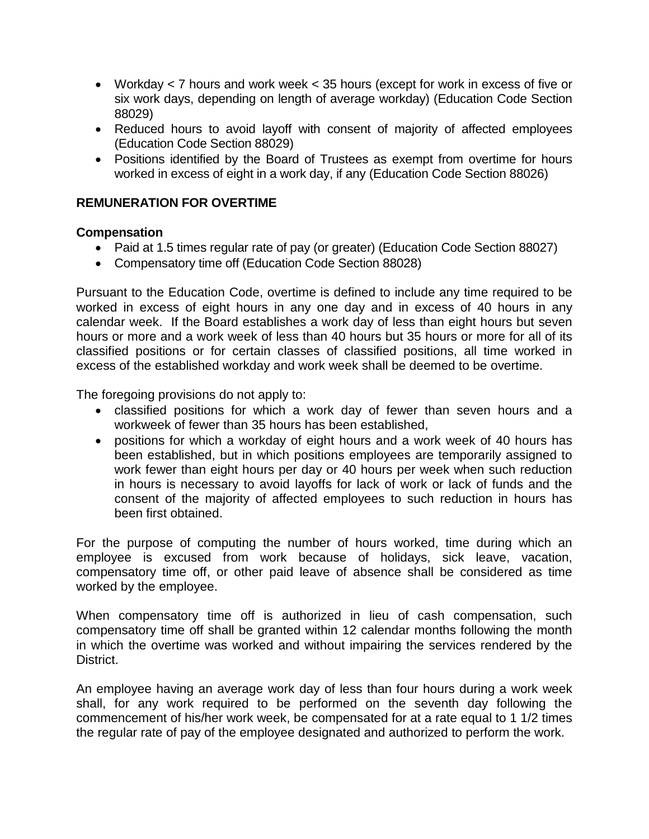- Workday < 7 hours and work week < 35 hours (except for work in excess of five or six work days, depending on length of average workday) (Education Code Section 88029)
- Reduced hours to avoid layoff with consent of majority of affected employees (Education Code Section 88029)
- Positions identified by the Board of Trustees as exempt from overtime for hours worked in excess of eight in a work day, if any (Education Code Section 88026)

## **REMUNERATION FOR OVERTIME**

#### **Compensation**

- Paid at 1.5 times regular rate of pay (or greater) (Education Code Section 88027)
- Compensatory time off (Education Code Section 88028)

Pursuant to the Education Code, overtime is defined to include any time required to be worked in excess of eight hours in any one day and in excess of 40 hours in any calendar week. If the Board establishes a work day of less than eight hours but seven hours or more and a work week of less than 40 hours but 35 hours or more for all of its classified positions or for certain classes of classified positions, all time worked in excess of the established workday and work week shall be deemed to be overtime.

The foregoing provisions do not apply to:

- classified positions for which a work day of fewer than seven hours and a workweek of fewer than 35 hours has been established,
- positions for which a workday of eight hours and a work week of 40 hours has been established, but in which positions employees are temporarily assigned to work fewer than eight hours per day or 40 hours per week when such reduction in hours is necessary to avoid layoffs for lack of work or lack of funds and the consent of the majority of affected employees to such reduction in hours has been first obtained.

For the purpose of computing the number of hours worked, time during which an employee is excused from work because of holidays, sick leave, vacation, compensatory time off, or other paid leave of absence shall be considered as time worked by the employee.

When compensatory time off is authorized in lieu of cash compensation, such compensatory time off shall be granted within 12 calendar months following the month in which the overtime was worked and without impairing the services rendered by the District.

An employee having an average work day of less than four hours during a work week shall, for any work required to be performed on the seventh day following the commencement of his/her work week, be compensated for at a rate equal to 1 1/2 times the regular rate of pay of the employee designated and authorized to perform the work.